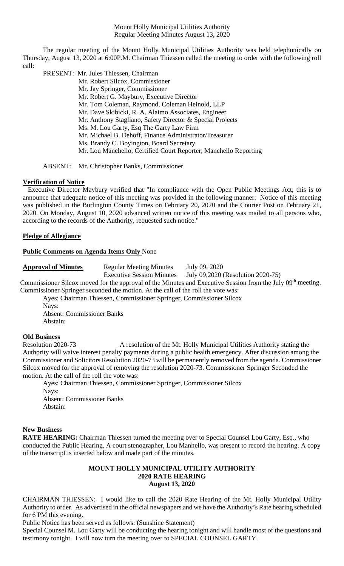Mount Holly Municipal Utilities Authority Regular Meeting Minutes August 13, 2020

The regular meeting of the Mount Holly Municipal Utilities Authority was held telephonically on Thursday, August 13, 2020 at 6:00P.M. Chairman Thiessen called the meeting to order with the following roll call:

 PRESENT: Mr. Jules Thiessen, Chairman Mr. Robert Silcox, Commissioner Mr. Jay Springer, Commissioner Mr. Robert G. Maybury, Executive Director Mr. Tom Coleman, Raymond, Coleman Heinold, LLP Mr. Dave Skibicki, R. A. Alaimo Associates, Engineer Mr. Anthony Stagliano, Safety Director & Special Projects Ms. M. Lou Garty, Esq The Garty Law Firm

Mr. Michael B. Dehoff, Finance Administrator/Treasurer

Ms. Brandy C. Boyington, Board Secretary

Mr. Lou Manchello, Certified Court Reporter, Manchello Reporting

ABSENT: Mr. Christopher Banks, Commissioner

## **Verification of Notice**

Executive Director Maybury verified that "In compliance with the Open Public Meetings Act, this is to announce that adequate notice of this meeting was provided in the following manner: Notice of this meeting was published in the Burlington County Times on February 20, 2020 and the Courier Post on February 21, 2020. On Monday, August 10, 2020 advanced written notice of this meeting was mailed to all persons who, according to the records of the Authority, requested such notice."

### **Pledge of Allegiance**

### **Public Comments on Agenda Items Only** None

**Approval of Minutes** Regular Meeting Minutes July 09, 2020

Executive Session Minutes July 09,2020 (Resolution 2020-75)

Commissioner Silcox moved for the approval of the Minutes and Executive Session from the July 09<sup>th</sup> meeting. Commissioner Springer seconded the motion. At the call of the roll the vote was:

Ayes: Chairman Thiessen, Commissioner Springer, Commissioner Silcox

Nays:

Absent: Commissioner Banks Abstain:

## **Old Business**

Resolution 2020-73 A resolution of the Mt. Holly Municipal Utilities Authority stating the Authority will waive interest penalty payments during a public health emergency. After discussion among the Commissioner and Solicitors Resolution 2020-73 will be permanently removed from the agenda. Commissioner Silcox moved for the approval of removing the resolution 2020-73. Commissioner Springer Seconded the motion. At the call of the roll the vote was:

Ayes: Chairman Thiessen, Commissioner Springer, Commissioner Silcox Nays: Absent: Commissioner Banks Abstain:

### **New Business**

**RATE HEARING:** Chairman Thiessen turned the meeting over to Special Counsel Lou Garty, Esq., who conducted the Public Hearing. A court stenographer, Lou Manhello, was present to record the hearing. A copy of the transcript is inserted below and made part of the minutes.

## **MOUNT HOLLY MUNICIPAL UTILITY AUTHORITY 2020 RATE HEARING August 13, 2020**

CHAIRMAN THIESSEN: I would like to call the 2020 Rate Hearing of the Mt. Holly Municipal Utility Authority to order. As advertised in the official newspapers and we have the Authority's Rate hearing scheduled for 6 PM this evening.

Public Notice has been served as follows: (Sunshine Statement)

Special Counsel M. Lou Garty will be conducting the hearing tonight and will handle most of the questions and testimony tonight. I will now turn the meeting over to SPECIAL COUNSEL GARTY.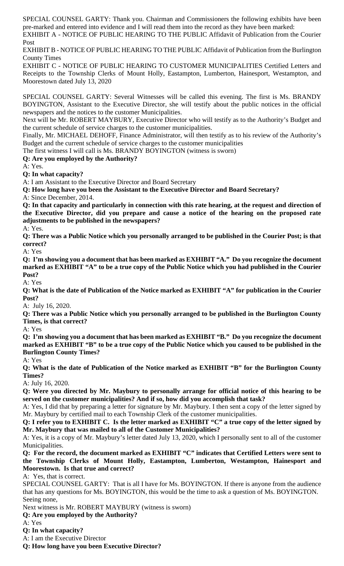SPECIAL COUNSEL GARTY: Thank you. Chairman and Commissioners the following exhibits have been pre-marked and entered into evidence and I will read them into the record as they have been marked:

EXHIBIT A - NOTICE OF PUBLIC HEARING TO THE PUBLIC Affidavit of Publication from the Courier Post

EXHIBIT B - NOTICE OF PUBLIC HEARING TO THE PUBLIC Affidavit of Publication from the Burlington County Times

EXHIBIT C - NOTICE OF PUBLIC HEARING TO CUSTOMER MUNICIPALITIES Certified Letters and Receipts to the Township Clerks of Mount Holly, Eastampton, Lumberton, Hainesport, Westampton, and Moorestown dated July 13, 2020

SPECIAL COUNSEL GARTY: Several Witnesses will be called this evening. The first is Ms. BRANDY BOYINGTON, Assistant to the Executive Director, she will testify about the public notices in the official newspapers and the notices to the customer Municipalities.

Next will be Mr. ROBERT MAYBURY, Executive Director who will testify as to the Authority's Budget and the current schedule of service charges to the customer municipalities.

Finally, Mr. MICHAEL DEHOFF, Finance Administrator, will then testify as to his review of the Authority's Budget and the current schedule of service charges to the customer municipalities

The first witness I will call is Ms. BRANDY BOYINGTON (witness is sworn)

**Q: Are you employed by the Authority?**

A: Yes.

**Q: In what capacity?**

A: I am Assistant to the Executive Director and Board Secretary

**Q: How long have you been the Assistant to the Executive Director and Board Secretary?**

A: Since December, 2014.

**Q: In that capacity and particularly in connection with this rate hearing, at the request and direction of the Executive Director, did you prepare and cause a notice of the hearing on the proposed rate adjustments to be published in the newspapers?**

A: Yes.

**Q: There was a Public Notice which you personally arranged to be published in the Courier Post; is that correct?**

A: Yes

**Q: I'm showing you a document that has been marked as EXHIBIT "A." Do you recognize the document marked as EXHIBIT "A" to be a true copy of the Public Notice which you had published in the Courier Post?** 

A: Yes

**Q: What is the date of Publication of the Notice marked as EXHIBIT "A" for publication in the Courier Post?** 

A: July 16, 2020.

**Q: There was a Public Notice which you personally arranged to be published in the Burlington County Times, is that correct?**

A: Yes

**Q: I'm showing you a document that has been marked as EXHIBIT "B." Do you recognize the document marked as EXHIBIT "B" to be a true copy of the Public Notice which you caused to be published in the Burlington County Times?** 

A: Yes

**Q: What is the date of Publication of the Notice marked as EXHIBIT "B" for the Burlington County Times?** 

A: July 16, 2020.

**Q: Were you directed by Mr. Maybury to personally arrange for official notice of this hearing to be served on the customer municipalities? And if so, how did you accomplish that task?**

A: Yes, I did that by preparing a letter for signature by Mr. Maybury. I then sent a copy of the letter signed by Mr. Maybury by certified mail to each Township Clerk of the customer municipalities.

**Q: I refer you to EXHIBIT C. Is the letter marked as EXHIBIT "C" a true copy of the letter signed by Mr. Maybury that was mailed to all of the Customer Municipalities?** 

A: Yes, it is a copy of Mr. Maybury's letter dated July 13, 2020, which I personally sent to all of the customer Municipalities.

**Q: For the record, the document marked as EXHIBIT "C" indicates that Certified Letters were sent to the Township Clerks of Mount Holly, Eastampton, Lumberton, Westampton, Hainesport and Moorestown. Is that true and correct?** 

A: Yes, that is correct.

SPECIAL COUNSEL GARTY: That is all I have for Ms. BOYINGTON. If there is anyone from the audience that has any questions for Ms. BOYINGTON, this would be the time to ask a question of Ms. BOYINGTON. Seeing none,

Next witness is Mr. ROBERT MAYBURY (witness is sworn)

**Q: Are you employed by the Authority?**

A: Yes

**Q: In what capacity?**

A: I am the Executive Director

**Q: How long have you been Executive Director?**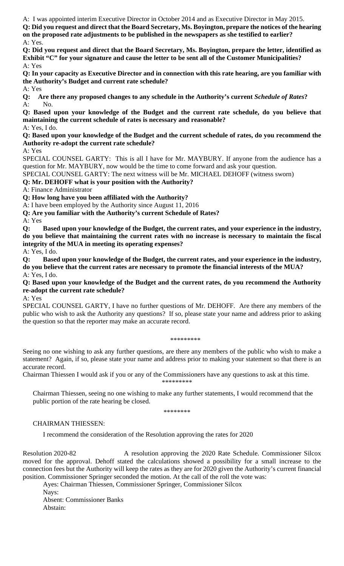A: I was appointed interim Executive Director in October 2014 and as Executive Director in May 2015.

**Q: Did you request and direct that the Board Secretary, Ms. Boyington, prepare the notices of the hearing on the proposed rate adjustments to be published in the newspapers as she testified to earlier?** A: Yes.

**Q: Did you request and direct that the Board Secretary, Ms. Boyington, prepare the letter, identified as Exhibit "C" for your signature and cause the letter to be sent all of the Customer Municipalities?**  A: Yes

**Q: In your capacity as Executive Director and in connection with this rate hearing, are you familiar with the Authority's Budget and current rate schedule?**

A: Yes

**Q: Are there any proposed changes to any schedule in the Authority's current** *Schedule of Rates***?** A: No.

**Q: Based upon your knowledge of the Budget and the current rate schedule, do you believe that maintaining the current schedule of rates is necessary and reasonable?**

A: Yes, I do.

**Q: Based upon your knowledge of the Budget and the current schedule of rates, do you recommend the Authority re-adopt the current rate schedule?**

A: Yes

SPECIAL COUNSEL GARTY: This is all I have for Mr. MAYBURY. If anyone from the audience has a question for Mr. MAYBURY, now would be the time to come forward and ask your question.

SPECIAL COUNSEL GARTY: The next witness will be Mr. MICHAEL DEHOFF (witness sworn)

# **Q: Mr. DEHOFF what is your position with the Authority?**

A: Finance Administrator

**Q: How long have you been affiliated with the Authority?**

A: I have been employed by the Authority since August 11, 2016

**Q: Are you familiar with the Authority's current Schedule of Rates?**

A: Yes

**Q: Based upon your knowledge of the Budget, the current rates, and your experience in the industry, do you believe that maintaining the current rates with no increase is necessary to maintain the fiscal integrity of the MUA in meeting its operating expenses?** 

A: Yes, I do.

**Q: Based upon your knowledge of the Budget, the current rates, and your experience in the industry, do you believe that the current rates are necessary to promote the financial interests of the MUA?**  A: Yes, I do.

**Q: Based upon your knowledge of the Budget and the current rates, do you recommend the Authority re-adopt the current rate schedule?**

A: Yes

SPECIAL COUNSEL GARTY, I have no further questions of Mr. DEHOFF. Are there any members of the public who wish to ask the Authority any questions? If so, please state your name and address prior to asking the question so that the reporter may make an accurate record.

\*\*\*\*\*\*\*\*\*

Seeing no one wishing to ask any further questions, are there any members of the public who wish to make a statement? Again, if so, please state your name and address prior to making your statement so that there is an accurate record.

Chairman Thiessen I would ask if you or any of the Commissioners have any questions to ask at this time. \*\*\*\*\*\*\*\*\*

Chairman Thiessen, seeing no one wishing to make any further statements, I would recommend that the public portion of the rate hearing be closed.

\*\*\*\*\*\*\*\*

## CHAIRMAN THIESSEN:

I recommend the consideration of the Resolution approving the rates for 2020

Resolution 2020-82 A resolution approving the 2020 Rate Schedule. Commissioner Silcox moved for the approval. Dehoff stated the calculations showed a possibility for a small increase to the connection fees but the Authority will keep the rates as they are for 2020 given the Authority's current financial position. Commissioner Springer seconded the motion. At the call of the roll the vote was:

Ayes: Chairman Thiessen, Commissioner Springer, Commissioner Silcox

Navs:

Absent: Commissioner Banks Abstain: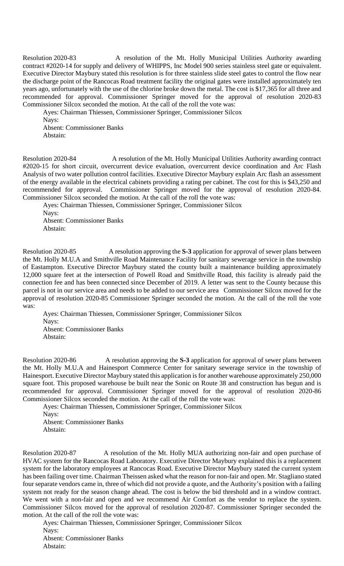Resolution 2020-83 A resolution of the Mt. Holly Municipal Utilities Authority awarding contract #2020-14 for supply and delivery of WHIPPS, Inc Model 900 series stainless steel gate or equivalent. Executive Director Maybury stated this resolution is for three stainless slide steel gates to control the flow near the discharge point of the Rancocas Road treatment facility the original gates were installed approximately ten years ago, unfortunately with the use of the chlorine broke down the metal. The cost is \$17,365 for all three and recommended for approval. Commissioner Springer moved for the approval of resolution 2020-83 Commissioner Silcox seconded the motion. At the call of the roll the vote was:

Ayes: Chairman Thiessen, Commissioner Springer, Commissioner Silcox

Nays: Absent: Commissioner Banks Abstain:

Resolution 2020-84 A resolution of the Mt. Holly Municipal Utilities Authority awarding contract #2020-15 for short circuit, overcurrent device evaluation, overcurrent device coordination and Arc Flash Analysis of two water pollution control facilities. Executive Director Maybury explain Arc flash an assessment of the energy available in the electrical cabinets providing a rating per cabinet. The cost for this is \$43,250 and recommended for approval. Commissioner Springer moved for the approval of resolution 2020-84. Commissioner Silcox seconded the motion. At the call of the roll the vote was:

Ayes: Chairman Thiessen, Commissioner Springer, Commissioner Silcox

Navs:

Absent: Commissioner Banks Abstain:

Resolution 2020-85 A resolution approving the **S-3** application for approval of sewer plans between the Mt. Holly M.U.A and Smithville Road Maintenance Facility for sanitary sewerage service in the township of Eastampton. Executive Director Maybury stated the county built a maintenance building approximately 12,000 square feet at the intersection of Powell Road and Smithville Road, this facility is already paid the connection fee and has been connected since December of 2019. A letter was sent to the County because this parcel is not in our service area and needs to be added to our service area Commissioner Silcox moved for the approval of resolution 2020-85 Commissioner Springer seconded the motion. At the call of the roll the vote was:

Ayes: Chairman Thiessen, Commissioner Springer, Commissioner Silcox Navs: Absent: Commissioner Banks Abstain:

Resolution 2020-86 A resolution approving the **S-3** application for approval of sewer plans between the Mt. Holly M.U.A and Hainesport Commerce Center for sanitary sewerage service in the township of Hainesport. Executive Director Maybury stated this application is for another warehouse approximately 250,000 square foot. This proposed warehouse be built near the Sonic on Route 38 and construction has begun and is recommended for approval. Commissioner Springer moved for the approval of resolution 2020-86 Commissioner Silcox seconded the motion. At the call of the roll the vote was:

Ayes: Chairman Thiessen, Commissioner Springer, Commissioner Silcox

Nays: Absent: Commissioner Banks Abstain:

Resolution 2020-87 A resolution of the Mt. Holly MUA authorizing non-fair and open purchase of HVAC system for the Rancocas Road Laboratory. Executive Director Maybury explained this is a replacement system for the laboratory employees at Rancocas Road. Executive Director Maybury stated the current system has been failing over time. Chairman Theissen asked what the reason for non-fair and open. Mr. Stagliano stated four separate vendors came in, three of which did not provide a quote, and the Authority's position with a failing system not ready for the season change ahead. The cost is below the bid threshold and in a window contract. We went with a non-fair and open and we recommend Air Comfort as the vendor to replace the system. Commissioner Silcox moved for the approval of resolution 2020-87. Commissioner Springer seconded the motion. At the call of the roll the vote was:

Ayes: Chairman Thiessen, Commissioner Springer, Commissioner Silcox Nays: Absent: Commissioner Banks Abstain: